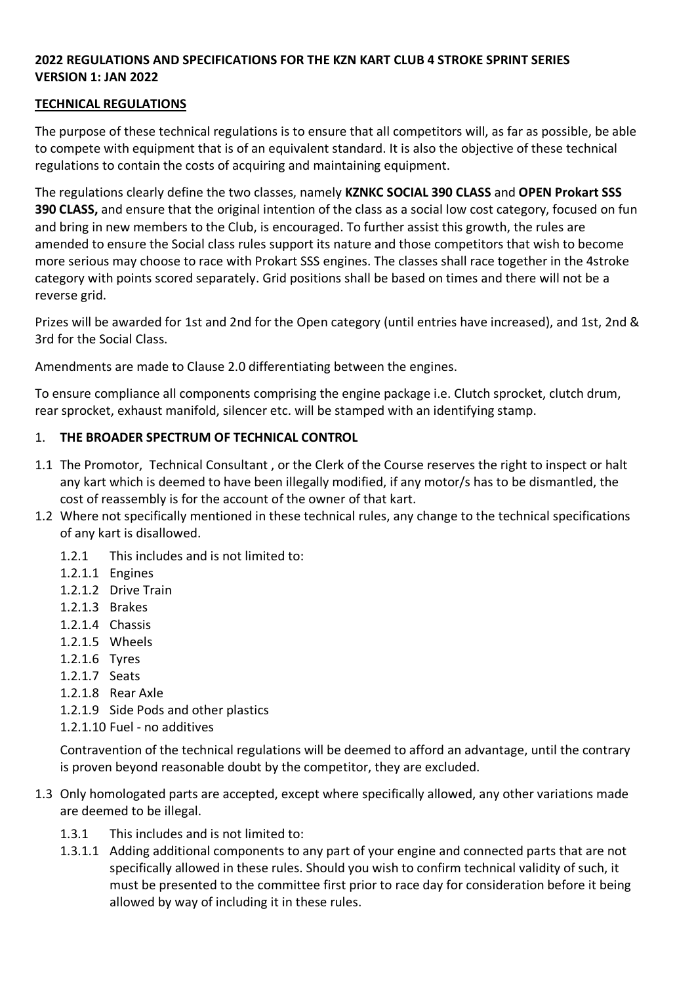### **2022 REGULATIONS AND SPECIFICATIONS FOR THE KZN KART CLUB 4 STROKE SPRINT SERIES VERSION 1: JAN 2022**

### **TECHNICAL REGULATIONS**

The purpose of these technical regulations is to ensure that all competitors will, as far as possible, be able to compete with equipment that is of an equivalent standard. It is also the objective of these technical regulations to contain the costs of acquiring and maintaining equipment.

The regulations clearly define the two classes, namely **KZNKC SOCIAL 390 CLASS** and **OPEN Prokart SSS 390 CLASS,** and ensure that the original intention of the class as a social low cost category, focused on fun and bring in new members to the Club, is encouraged. To further assist this growth, the rules are amended to ensure the Social class rules support its nature and those competitors that wish to become more serious may choose to race with Prokart SSS engines. The classes shall race together in the 4stroke category with points scored separately. Grid positions shall be based on times and there will not be a reverse grid.

Prizes will be awarded for 1st and 2nd for the Open category (until entries have increased), and 1st, 2nd & 3rd for the Social Class.

Amendments are made to Clause 2.0 differentiating between the engines.

To ensure compliance all components comprising the engine package i.e. Clutch sprocket, clutch drum, rear sprocket, exhaust manifold, silencer etc. will be stamped with an identifying stamp.

### 1. **THE BROADER SPECTRUM OF TECHNICAL CONTROL**

- 1.1 The Promotor, Technical Consultant , or the Clerk of the Course reserves the right to inspect or halt any kart which is deemed to have been illegally modified, if any motor/s has to be dismantled, the cost of reassembly is for the account of the owner of that kart.
- 1.2 Where not specifically mentioned in these technical rules, any change to the technical specifications of any kart is disallowed.
	- 1.2.1 This includes and is not limited to:
	- 1.2.1.1 Engines
	- 1.2.1.2 Drive Train
	- 1.2.1.3 Brakes
	- 1.2.1.4 Chassis
	- 1.2.1.5 Wheels
	- 1.2.1.6 Tyres
	- 1.2.1.7 Seats
	- 1.2.1.8 Rear Axle
	- 1.2.1.9 Side Pods and other plastics
	- 1.2.1.10 Fuel no additives

Contravention of the technical regulations will be deemed to afford an advantage, until the contrary is proven beyond reasonable doubt by the competitor, they are excluded.

- 1.3 Only homologated parts are accepted, except where specifically allowed, any other variations made are deemed to be illegal.
	- 1.3.1 This includes and is not limited to:
	- 1.3.1.1 Adding additional components to any part of your engine and connected parts that are not specifically allowed in these rules. Should you wish to confirm technical validity of such, it must be presented to the committee first prior to race day for consideration before it being allowed by way of including it in these rules.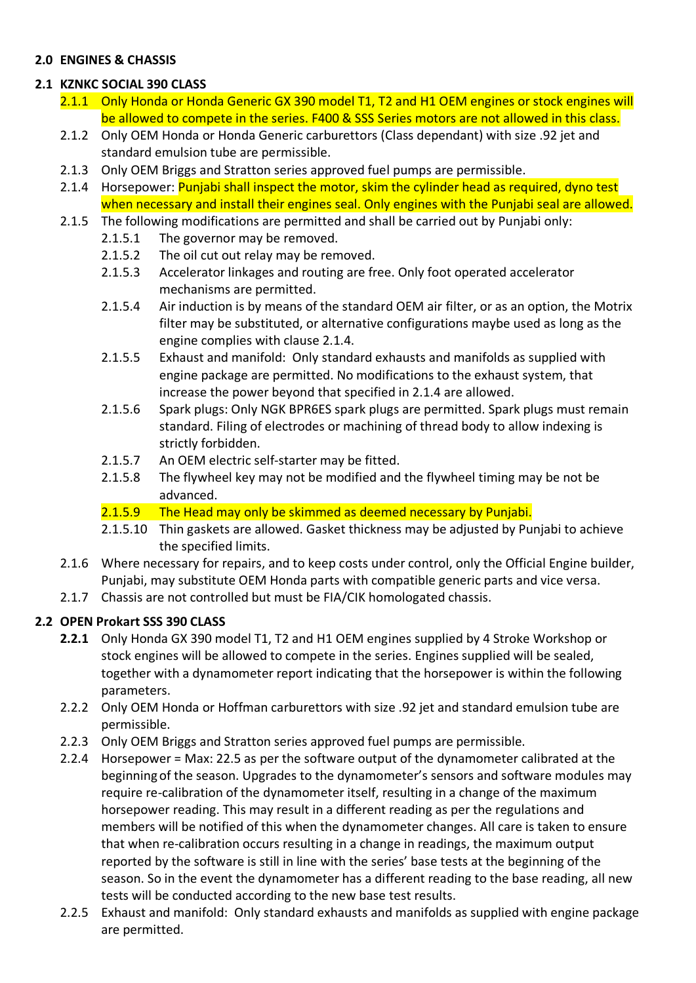## **2.0 ENGINES & CHASSIS**

## **2.1 KZNKC SOCIAL 390 CLASS**

- 2.1.1 Only Honda or Honda Generic GX 390 model T1, T2 and H1 OEM engines or stock engines will be allowed to compete in the series. F400 & SSS Series motors are not allowed in this class.
- 2.1.2 Only OEM Honda or Honda Generic carburettors (Class dependant) with size .92 jet and standard emulsion tube are permissible.
- 2.1.3 Only OEM Briggs and Stratton series approved fuel pumps are permissible.
- 2.1.4 Horsepower: Punjabi shall inspect the motor, skim the cylinder head as required, dyno test when necessary and install their engines seal. Only engines with the Punjabi seal are allowed.
- 2.1.5 The following modifications are permitted and shall be carried out by Punjabi only:
	- 2.1.5.1 The governor may be removed.
	- 2.1.5.2 The oil cut out relay may be removed.
	- 2.1.5.3 Accelerator linkages and routing are free. Only foot operated accelerator mechanisms are permitted.
	- 2.1.5.4 Air induction is by means of the standard OEM air filter, or as an option, the Motrix filter may be substituted, or alternative configurations maybe used as long as the engine complies with clause 2.1.4.
	- 2.1.5.5 Exhaust and manifold: Only standard exhausts and manifolds as supplied with engine package are permitted. No modifications to the exhaust system, that increase the power beyond that specified in 2.1.4 are allowed.
	- 2.1.5.6 Spark plugs: Only NGK BPR6ES spark plugs are permitted. Spark plugs must remain standard. Filing of electrodes or machining of thread body to allow indexing is strictly forbidden.
	- 2.1.5.7 An OEM electric self-starter may be fitted.
	- 2.1.5.8 The flywheel key may not be modified and the flywheel timing may be not be advanced.
	- 2.1.5.9 The Head may only be skimmed as deemed necessary by Punjabi.
	- 2.1.5.10 Thin gaskets are allowed. Gasket thickness may be adjusted by Punjabi to achieve the specified limits.
- 2.1.6 Where necessary for repairs, and to keep costs under control, only the Official Engine builder, Punjabi, may substitute OEM Honda parts with compatible generic parts and vice versa.
- 2.1.7 Chassis are not controlled but must be FIA/CIK homologated chassis.

## **2.2 OPEN Prokart SSS 390 CLASS**

- **2.2.1** Only Honda GX 390 model T1, T2 and H1 OEM engines supplied by 4 Stroke Workshop or stock engines will be allowed to compete in the series. Engines supplied will be sealed, together with a dynamometer report indicating that the horsepower is within the following parameters.
- 2.2.2 Only OEM Honda or Hoffman carburettors with size .92 jet and standard emulsion tube are permissible.
- 2.2.3 Only OEM Briggs and Stratton series approved fuel pumps are permissible.
- 2.2.4 Horsepower = Max: 22.5 as per the software output of the dynamometer calibrated at the beginningof the season. Upgrades to the dynamometer's sensors and software modules may require re-calibration of the dynamometer itself, resulting in a change of the maximum horsepower reading. This may result in a different reading as per the regulations and members will be notified of this when the dynamometer changes. All care is taken to ensure that when re-calibration occurs resulting in a change in readings, the maximum output reported by the software is still in line with the series' base tests at the beginning of the season. So in the event the dynamometer has a different reading to the base reading, all new tests will be conducted according to the new base test results.
- 2.2.5 Exhaust and manifold: Only standard exhausts and manifolds as supplied with engine package are permitted.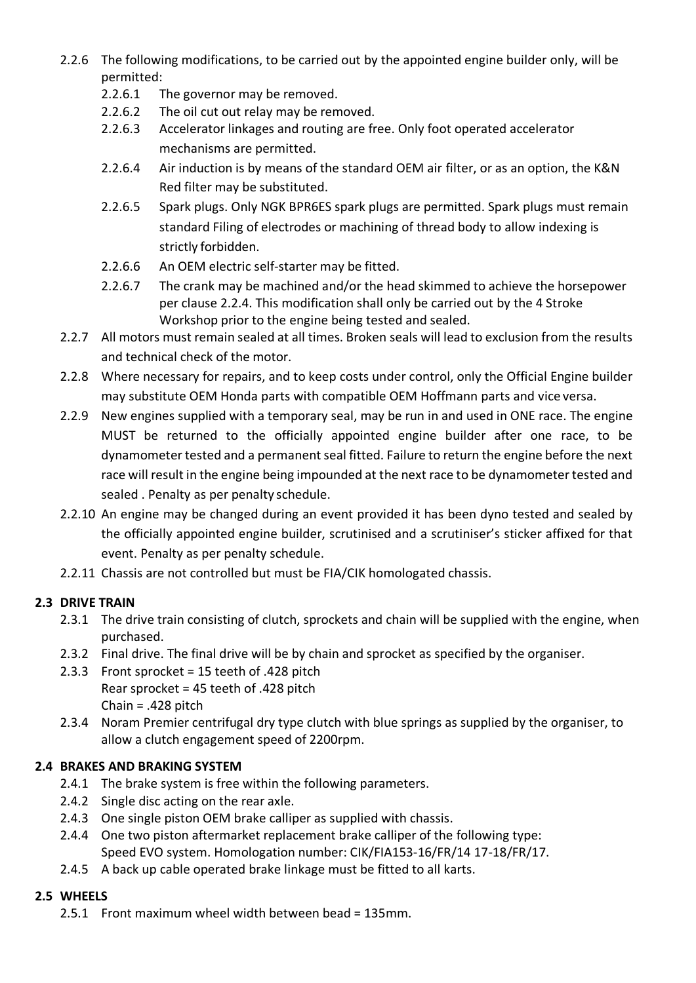- 2.2.6 The following modifications, to be carried out by the appointed engine builder only, will be permitted:
	- 2.2.6.1 The governor may be removed.
	- 2.2.6.2 The oil cut out relay may be removed.
	- 2.2.6.3 Accelerator linkages and routing are free. Only foot operated accelerator mechanisms are permitted.
	- 2.2.6.4 Air induction is by means of the standard OEM air filter, or as an option, the K&N Red filter may be substituted.
	- 2.2.6.5 Spark plugs. Only NGK BPR6ES spark plugs are permitted. Spark plugs must remain standard Filing of electrodes or machining of thread body to allow indexing is strictly forbidden.
	- 2.2.6.6 An OEM electric self-starter may be fitted.
	- 2.2.6.7 The crank may be machined and/or the head skimmed to achieve the horsepower per clause 2.2.4. This modification shall only be carried out by the 4 Stroke Workshop prior to the engine being tested and sealed.
- 2.2.7 All motors must remain sealed at all times. Broken seals will lead to exclusion from the results and technical check of the motor.
- 2.2.8 Where necessary for repairs, and to keep costs under control, only the Official Engine builder may substitute OEM Honda parts with compatible OEM Hoffmann parts and vice versa.
- 2.2.9 New engines supplied with a temporary seal, may be run in and used in ONE race. The engine MUST be returned to the officially appointed engine builder after one race, to be dynamometer tested and a permanent seal fitted. Failure to return the engine before the next race will result in the engine being impounded at the next race to be dynamometer tested and sealed . Penalty as per penalty schedule.
- 2.2.10 An engine may be changed during an event provided it has been dyno tested and sealed by the officially appointed engine builder, scrutinised and a scrutiniser's sticker affixed for that event. Penalty as per penalty schedule.
- 2.2.11 Chassis are not controlled but must be FIA/CIK homologated chassis.

# **2.3 DRIVE TRAIN**

- 2.3.1 The drive train consisting of clutch, sprockets and chain will be supplied with the engine, when purchased.
- 2.3.2 Final drive. The final drive will be by chain and sprocket as specified by the organiser.
- 2.3.3 Front sprocket = 15 teeth of .428 pitch Rear sprocket = 45 teeth of .428 pitch Chain = .428 pitch
- 2.3.4 Noram Premier centrifugal dry type clutch with blue springs as supplied by the organiser, to allow a clutch engagement speed of 2200rpm.

# **2.4 BRAKES AND BRAKING SYSTEM**

- 2.4.1 The brake system is free within the following parameters.
- 2.4.2 Single disc acting on the rear axle.
- 2.4.3 One single piston OEM brake calliper as supplied with chassis.
- 2.4.4 One two piston aftermarket replacement brake calliper of the following type: Speed EVO system. Homologation number: CIK/FIA153-16/FR/14 17-18/FR/17.
- 2.4.5 A back up cable operated brake linkage must be fitted to all karts.

# **2.5 WHEELS**

2.5.1 Front maximum wheel width between bead = 135mm.